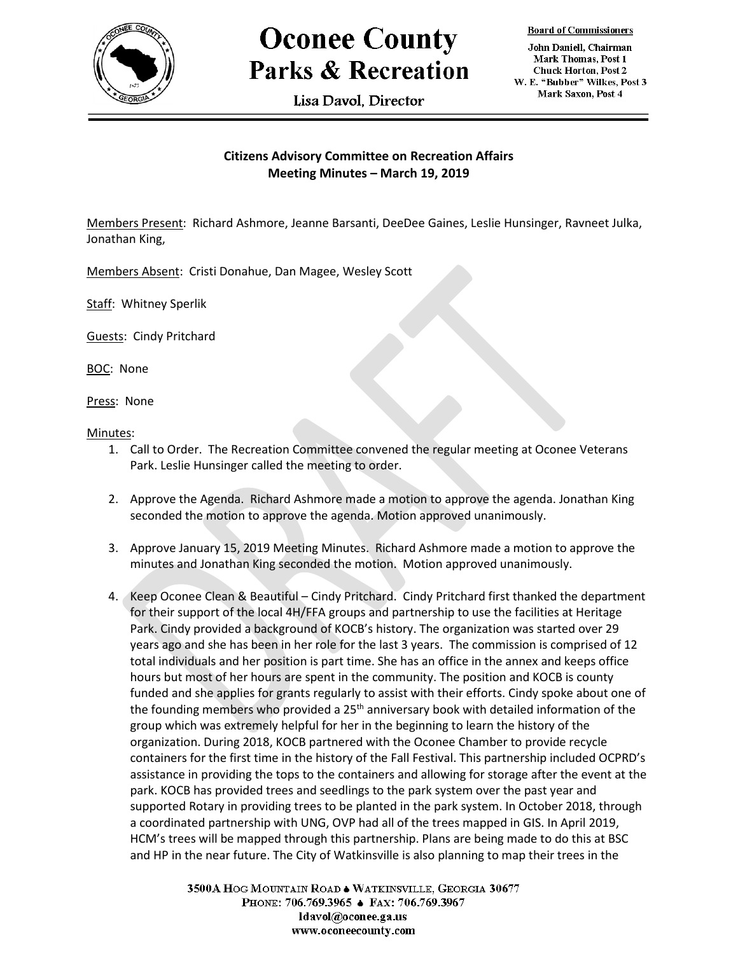

## **Oconee County Parks & Recreation**

Lisa Davol. Director

**Board of Commissioners** 

John Daniell, Chairman Mark Thomas, Post 1 **Chuck Horton, Post 2** W. E. "Bubber" Wilkes, Post 3 Mark Saxon, Post 4

## **Citizens Advisory Committee on Recreation Affairs Meeting Minutes – March 19, 2019**

Members Present: Richard Ashmore, Jeanne Barsanti, DeeDee Gaines, Leslie Hunsinger, Ravneet Julka, Jonathan King,

Members Absent: Cristi Donahue, Dan Magee, Wesley Scott

Staff: Whitney Sperlik

Guests: Cindy Pritchard

BOC: None

Press: None

Minutes:

- 1. Call to Order. The Recreation Committee convened the regular meeting at Oconee Veterans Park. Leslie Hunsinger called the meeting to order.
- 2. Approve the Agenda. Richard Ashmore made a motion to approve the agenda. Jonathan King seconded the motion to approve the agenda. Motion approved unanimously.
- 3. Approve January 15, 2019 Meeting Minutes. Richard Ashmore made a motion to approve the minutes and Jonathan King seconded the motion. Motion approved unanimously.
- 4. Keep Oconee Clean & Beautiful Cindy Pritchard. Cindy Pritchard first thanked the department for their support of the local 4H/FFA groups and partnership to use the facilities at Heritage Park. Cindy provided a background of KOCB's history. The organization was started over 29 years ago and she has been in her role for the last 3 years. The commission is comprised of 12 total individuals and her position is part time. She has an office in the annex and keeps office hours but most of her hours are spent in the community. The position and KOCB is county funded and she applies for grants regularly to assist with their efforts. Cindy spoke about one of the founding members who provided a  $25<sup>th</sup>$  anniversary book with detailed information of the group which was extremely helpful for her in the beginning to learn the history of the organization. During 2018, KOCB partnered with the Oconee Chamber to provide recycle containers for the first time in the history of the Fall Festival. This partnership included OCPRD's assistance in providing the tops to the containers and allowing for storage after the event at the park. KOCB has provided trees and seedlings to the park system over the past year and supported Rotary in providing trees to be planted in the park system. In October 2018, through a coordinated partnership with UNG, OVP had all of the trees mapped in GIS. In April 2019, HCM's trees will be mapped through this partnership. Plans are being made to do this at BSC and HP in the near future. The City of Watkinsville is also planning to map their trees in the

3500A HOG MOUNTAIN ROAD . WATKINSVILLE, GEORGIA 30677 PHONE: 706.769.3965 ♦ FAX: 706.769.3967 ldavol@oconee.ga.us www.oconeecounty.com